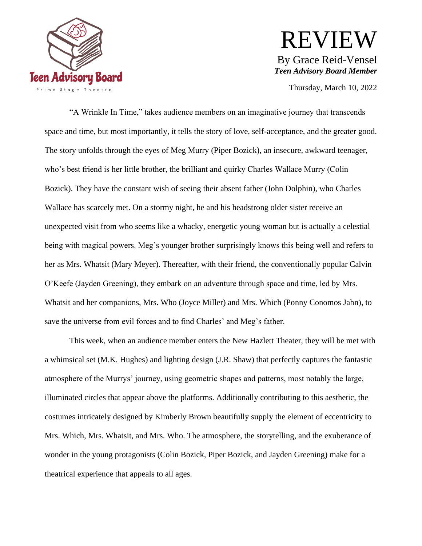

## REVIEW By Grace Reid-Vensel *Teen Advisory Board Member*

Thursday, March 10, 2022

"A Wrinkle In Time," takes audience members on an imaginative journey that transcends space and time, but most importantly, it tells the story of love, self-acceptance, and the greater good. The story unfolds through the eyes of Meg Murry (Piper Bozick), an insecure, awkward teenager, who's best friend is her little brother, the brilliant and quirky Charles Wallace Murry (Colin Bozick). They have the constant wish of seeing their absent father (John Dolphin), who Charles Wallace has scarcely met. On a stormy night, he and his headstrong older sister receive an unexpected visit from who seems like a whacky, energetic young woman but is actually a celestial being with magical powers. Meg's younger brother surprisingly knows this being well and refers to her as Mrs. Whatsit (Mary Meyer). Thereafter, with their friend, the conventionally popular Calvin O'Keefe (Jayden Greening), they embark on an adventure through space and time, led by Mrs. Whatsit and her companions, Mrs. Who (Joyce Miller) and Mrs. Which (Ponny Conomos Jahn), to save the universe from evil forces and to find Charles' and Meg's father.

This week, when an audience member enters the New Hazlett Theater, they will be met with a whimsical set (M.K. Hughes) and lighting design (J.R. Shaw) that perfectly captures the fantastic atmosphere of the Murrys' journey, using geometric shapes and patterns, most notably the large, illuminated circles that appear above the platforms. Additionally contributing to this aesthetic, the costumes intricately designed by Kimberly Brown beautifully supply the element of eccentricity to Mrs. Which, Mrs. Whatsit, and Mrs. Who. The atmosphere, the storytelling, and the exuberance of wonder in the young protagonists (Colin Bozick, Piper Bozick, and Jayden Greening) make for a theatrical experience that appeals to all ages.